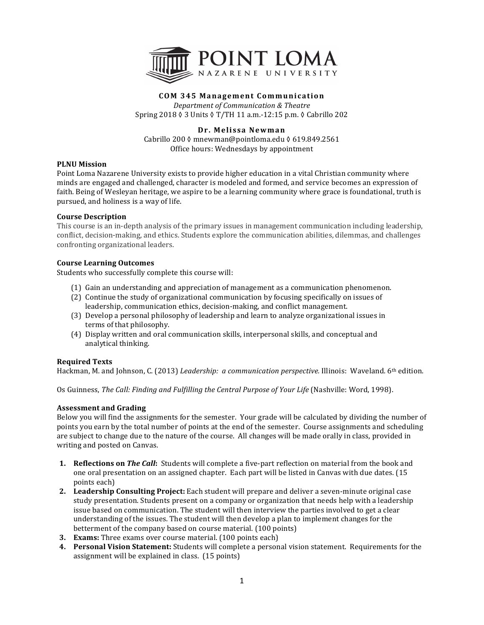

## **COM 345 Management Communication**

*Department of Communication & Theatre* Spring 2018 ♦ 3 Units ♦ T/TH 11 a.m.-12:15 p.m. ♦ Cabrillo 202

## **Dr. Melissa Newman**

Cabrillo 200 ◊ mnewman@pointloma.edu ◊ 619.849.2561 Office hours: Wednesdays by appointment

### **PLNU** Mission

Point Loma Nazarene University exists to provide higher education in a vital Christian community where minds are engaged and challenged, character is modeled and formed, and service becomes an expression of faith. Being of Wesleyan heritage, we aspire to be a learning community where grace is foundational, truth is pursued, and holiness is a way of life.

### **Course Description**

This course is an in-depth analysis of the primary issues in management communication including leadership, conflict, decision-making, and ethics. Students explore the communication abilities, dilemmas, and challenges confronting organizational leaders.

### **Course Learning Outcomes**

Students who successfully complete this course will:

- (1) Gain an understanding and appreciation of management as a communication phenomenon.
- (2) Continue the study of organizational communication by focusing specifically on issues of leadership, communication ethics, decision-making, and conflict management.
- (3) Develop a personal philosophy of leadership and learn to analyze organizational issues in terms of that philosophy.
- (4) Display written and oral communication skills, interpersonal skills, and conceptual and analytical thinking.

### **Required Texts**

Hackman, M. and Johnson, C. (2013) *Leadership: a communication perspective.* Illinois: Waveland. 6<sup>th</sup> edition.

Os Guinness, *The Call: Finding and Fulfilling the Central Purpose of Your Life* (Nashville: Word, 1998).

## **Assessment and Grading**

Below you will find the assignments for the semester. Your grade will be calculated by dividing the number of points you earn by the total number of points at the end of the semester. Course assignments and scheduling are subject to change due to the nature of the course. All changes will be made orally in class, provided in writing and posted on Canvas.

- **1. Reflections on** *The Call*: Students will complete a five-part reflection on material from the book and one oral presentation on an assigned chapter. Each part will be listed in Canvas with due dates. (15 points each)
- 2. Leadership Consulting Project: Each student will prepare and deliver a seven-minute original case study presentation. Students present on a company or organization that needs help with a leadership issue based on communication. The student will then interview the parties involved to get a clear understanding of the issues. The student will then develop a plan to implement changes for the betterment of the company based on course material. (100 points)
- **3. Exams:** Three exams over course material. (100 points each)
- **4.** Personal Vision Statement: Students will complete a personal vision statement. Requirements for the assignment will be explained in class.  $(15 \text{ points})$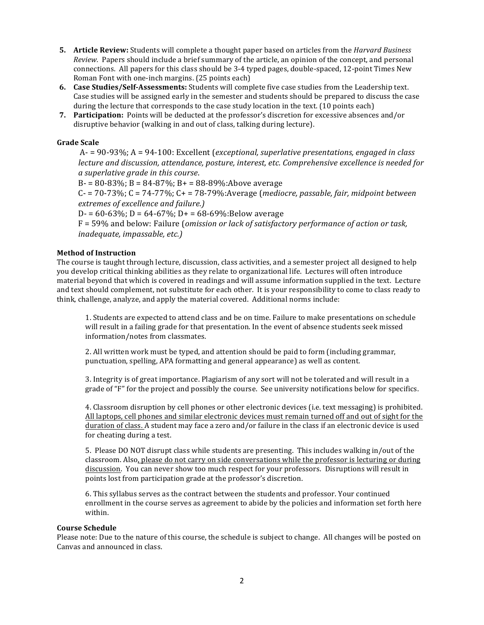- **5. Article Review:** Students will complete a thought paper based on articles from the *Harvard Business Review.* Papers should include a brief summary of the article, an opinion of the concept, and personal connections. All papers for this class should be 3-4 typed pages, double-spaced, 12-point Times New Roman Font with one-inch margins. (25 points each)
- **6. Case Studies/Self-Assessments:** Students will complete five case studies from the Leadership text. Case studies will be assigned early in the semester and students should be prepared to discuss the case during the lecture that corresponds to the case study location in the text. (10 points each)
- **7.** Participation: Points will be deducted at the professor's discretion for excessive absences and/or disruptive behavior (walking in and out of class, talking during lecture).

## **Grade Scale**

A- = 90-93%; A = 94-100: Excellent (*exceptional, superlative presentations, engaged in class lecture and discussion, attendance, posture, interest, etc. Comprehensive excellence is needed for a superlative grade in this course*.

 $B = 80 - 83\%$ ;  $B = 84 - 87\%$ ;  $B = 88 - 89\%$ :Above average

 $C - 70-73\%$ ;  $C = 74-77\%$ ;  $C + 78-79\%$ : Average (*mediocre, passable, fair, midpoint between extremes of excellence and failure.)*

 $D = 60-63\%$ ;  $D = 64-67\%$ ;  $D = 68-69\%$ :Below average

F = 59% and below: Failure (*omission or lack of satisfactory performance of action or task, inadequate, impassable, etc.)* 

### **Method of Instruction**

The course is taught through lecture, discussion, class activities, and a semester project all designed to help you develop critical thinking abilities as they relate to organizational life. Lectures will often introduce material beyond that which is covered in readings and will assume information supplied in the text. Lecture and text should complement, not substitute for each other. It is your responsibility to come to class ready to think, challenge, analyze, and apply the material covered. Additional norms include:

1. Students are expected to attend class and be on time. Failure to make presentations on schedule will result in a failing grade for that presentation. In the event of absence students seek missed information/notes from classmates.

2. All written work must be typed, and attention should be paid to form (including grammar, punctuation, spelling, APA formatting and general appearance) as well as content.

3. Integrity is of great importance. Plagiarism of any sort will not be tolerated and will result in a grade of "F" for the project and possibly the course. See university notifications below for specifics.

4. Classroom disruption by cell phones or other electronic devices (i.e. text messaging) is prohibited. All laptops, cell phones and similar electronic devices must remain turned off and out of sight for the duration of class. A student may face a zero and/or failure in the class if an electronic device is used for cheating during a test.

5. Please DO NOT disrupt class while students are presenting. This includes walking in/out of the classroom. Also, please do not carry on side conversations while the professor is lecturing or during discussion. You can never show too much respect for your professors. Disruptions will result in points lost from participation grade at the professor's discretion.

6. This syllabus serves as the contract between the students and professor. Your continued enrollment in the course serves as agreement to abide by the policies and information set forth here within. 

### **Course Schedule**

Please note: Due to the nature of this course, the schedule is subject to change. All changes will be posted on Canvas and announced in class.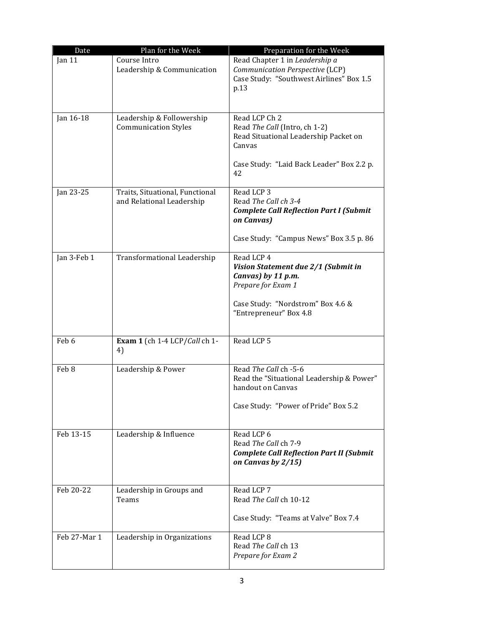| Date         | Plan for the Week                                            | Preparation for the Week                                                                                                                                     |
|--------------|--------------------------------------------------------------|--------------------------------------------------------------------------------------------------------------------------------------------------------------|
| Jan $11$     | Course Intro<br>Leadership & Communication                   | Read Chapter 1 in Leadership a<br>Communication Perspective (LCP)<br>Case Study: "Southwest Airlines" Box 1.5<br>p.13                                        |
| Jan 16-18    | Leadership & Followership<br><b>Communication Styles</b>     | Read LCP Ch 2<br>Read The Call (Intro, ch 1-2)<br>Read Situational Leadership Packet on<br>Canvas<br>Case Study: "Laid Back Leader" Box 2.2 p.<br>42         |
| Jan 23-25    | Traits, Situational, Functional<br>and Relational Leadership | Read LCP 3<br>Read The Call ch 3-4<br><b>Complete Call Reflection Part I (Submit</b><br>on Canvas)<br>Case Study: "Campus News" Box 3.5 p. 86                |
| Jan 3-Feb 1  | Transformational Leadership                                  | Read LCP 4<br>Vision Statement due 2/1 (Submit in<br>Canvas) by 11 p.m.<br>Prepare for Exam 1<br>Case Study: "Nordstrom" Box 4.6 &<br>"Entrepreneur" Box 4.8 |
| Feb 6        | Exam 1 (ch 1-4 LCP/Call ch 1-<br>4)                          | Read LCP 5                                                                                                                                                   |
| Feb 8        | Leadership & Power                                           | Read The Call ch -5-6<br>Read the "Situational Leadership & Power"<br>handout on Canvas<br>Case Study: "Power of Pride" Box 5.2                              |
| Feb 13-15    | Leadership & Influence                                       | Read LCP 6<br>Read The Call ch 7-9<br><b>Complete Call Reflection Part II (Submit</b><br>on Canvas by $2/15$ )                                               |
| Feb 20-22    | Leadership in Groups and<br>Teams                            | Read LCP 7<br>Read The Call ch 10-12<br>Case Study: "Teams at Valve" Box 7.4                                                                                 |
| Feb 27-Mar 1 | Leadership in Organizations                                  | Read LCP 8<br>Read The Call ch 13<br>Prepare for Exam 2                                                                                                      |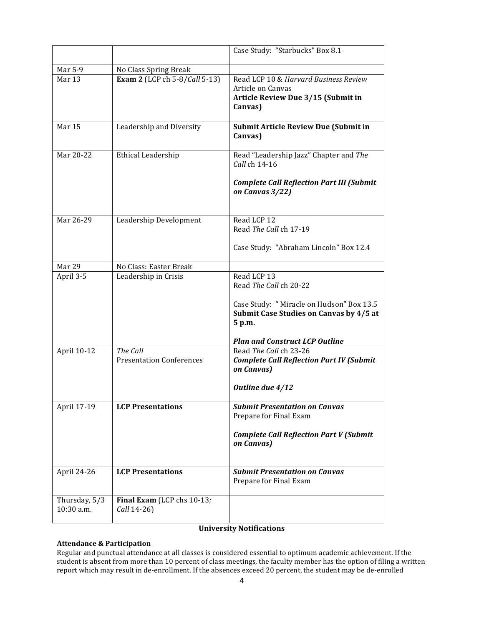|                             |                                             | Case Study: "Starbucks" Box 8.1                                                                             |
|-----------------------------|---------------------------------------------|-------------------------------------------------------------------------------------------------------------|
| Mar 5-9                     | No Class Spring Break                       |                                                                                                             |
| Mar 13                      | Exam 2 (LCP ch 5-8/Call 5-13)               | Read LCP 10 & Harvard Business Review<br>Article on Canvas<br>Article Review Due 3/15 (Submit in<br>Canvas) |
| Mar <sub>15</sub>           | Leadership and Diversity                    | <b>Submit Article Review Due (Submit in</b><br>Canvas)                                                      |
| Mar 20-22                   | Ethical Leadership                          | Read "Leadership Jazz" Chapter and The<br>Call ch 14-16                                                     |
|                             |                                             | <b>Complete Call Reflection Part III (Submit</b><br>on Canvas 3/22)                                         |
| Mar 26-29                   | Leadership Development                      | Read LCP 12<br>Read The Call ch 17-19                                                                       |
|                             |                                             | Case Study: "Abraham Lincoln" Box 12.4                                                                      |
| Mar 29                      | No Class: Easter Break                      |                                                                                                             |
| April 3-5                   | Leadership in Crisis                        | Read LCP 13<br>Read The Call ch 20-22                                                                       |
|                             |                                             | Case Study: " Miracle on Hudson" Box 13.5<br>Submit Case Studies on Canvas by 4/5 at<br>5 p.m.              |
|                             |                                             | <b>Plan and Construct LCP Outline</b>                                                                       |
| April 10-12                 | The Call<br><b>Presentation Conferences</b> | Read The Call ch 23-26<br><b>Complete Call Reflection Part IV (Submit</b><br>on Canvas)<br>Outline due 4/12 |
|                             |                                             |                                                                                                             |
| April 17-19                 | <b>LCP Presentations</b>                    | <b>Submit Presentation on Canvas</b><br>Prepare for Final Exam                                              |
|                             |                                             | <b>Complete Call Reflection Part V (Submit</b><br>on Canvas)                                                |
| April 24-26                 | <b>LCP Presentations</b>                    | <b>Submit Presentation on Canvas</b><br>Prepare for Final Exam                                              |
| Thursday, 5/3<br>10:30 a.m. | Final Exam (LCP chs 10-13;<br>Call 14-26)   |                                                                                                             |

# **University Notifications**

# **Attendance & Participation**

Regular and punctual attendance at all classes is considered essential to optimum academic achievement. If the student is absent from more than 10 percent of class meetings, the faculty member has the option of filing a written report which may result in de-enrollment. If the absences exceed 20 percent, the student may be de-enrolled